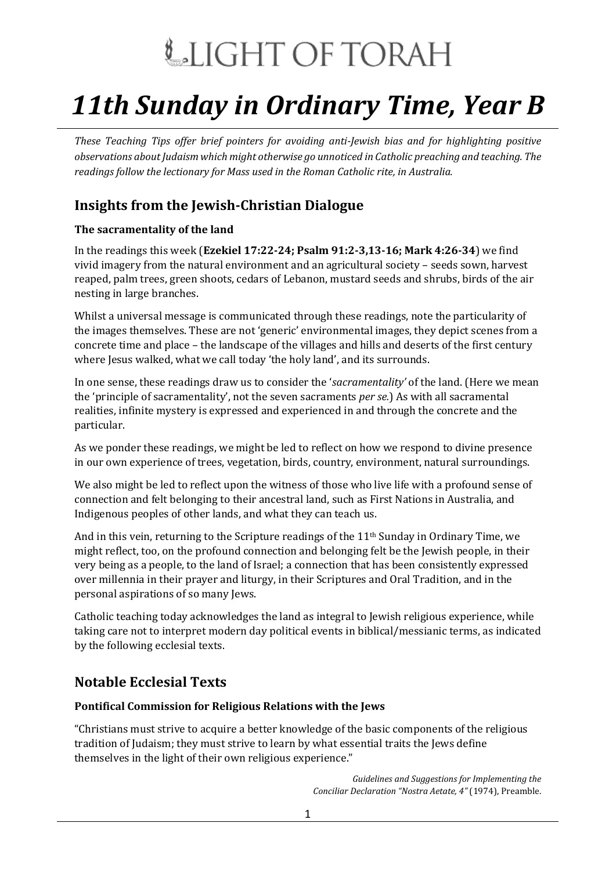# LIGHT OF TORAH

# *11th Sunday in Ordinary Time, Year B*

*These Teaching Tips offer brief pointers for avoiding anti-Jewish bias and for highlighting positive observations about Judaism which might otherwise go unnoticed in Catholic preaching and teaching. The readings follow the lectionary for Mass used in the Roman Catholic rite, in Australia.*

# **Insights from the Jewish-Christian Dialogue**

### **The sacramentality of the land**

In the readings this week (**Ezekiel 17:22-24; Psalm 91:2-3,13-16; Mark 4:26-34**) we find vivid imagery from the natural environment and an agricultural society – seeds sown, harvest reaped, palm trees, green shoots, cedars of Lebanon, mustard seeds and shrubs, birds of the air nesting in large branches.

Whilst a universal message is communicated through these readings, note the particularity of the images themselves. These are not 'generic' environmental images, they depict scenes from a concrete time and place – the landscape of the villages and hills and deserts of the first century where Jesus walked, what we call today 'the holy land', and its surrounds.

In one sense, these readings draw us to consider the '*sacramentality'* of the land. (Here we mean the 'principle of sacramentality', not the seven sacraments *per se.*) As with all sacramental realities, infinite mystery is expressed and experienced in and through the concrete and the particular.

As we ponder these readings, we might be led to reflect on how we respond to divine presence in our own experience of trees, vegetation, birds, country, environment, natural surroundings.

We also might be led to reflect upon the witness of those who live life with a profound sense of connection and felt belonging to their ancestral land, such as First Nations in Australia, and Indigenous peoples of other lands, and what they can teach us.

And in this vein, returning to the Scripture readings of the 11th Sunday in Ordinary Time, we might reflect, too, on the profound connection and belonging felt be the Jewish people, in their very being as a people, to the land of Israel; a connection that has been consistently expressed over millennia in their prayer and liturgy, in their Scriptures and Oral Tradition, and in the personal aspirations of so many Jews.

Catholic teaching today acknowledges the land as integral to Jewish religious experience, while taking care not to interpret modern day political events in biblical/messianic terms, as indicated by the following ecclesial texts.

## **Notable Ecclesial Texts**

### **Pontifical Commission for Religious Relations with the Jews**

"Christians must strive to acquire a better knowledge of the basic components of the religious tradition of Judaism; they must strive to learn by what essential traits the Jews define themselves in the light of their own religious experience."

> *Guidelines and Suggestions for Implementing the Conciliar Declaration "Nostra Aetate, 4"* (1974), Preamble.